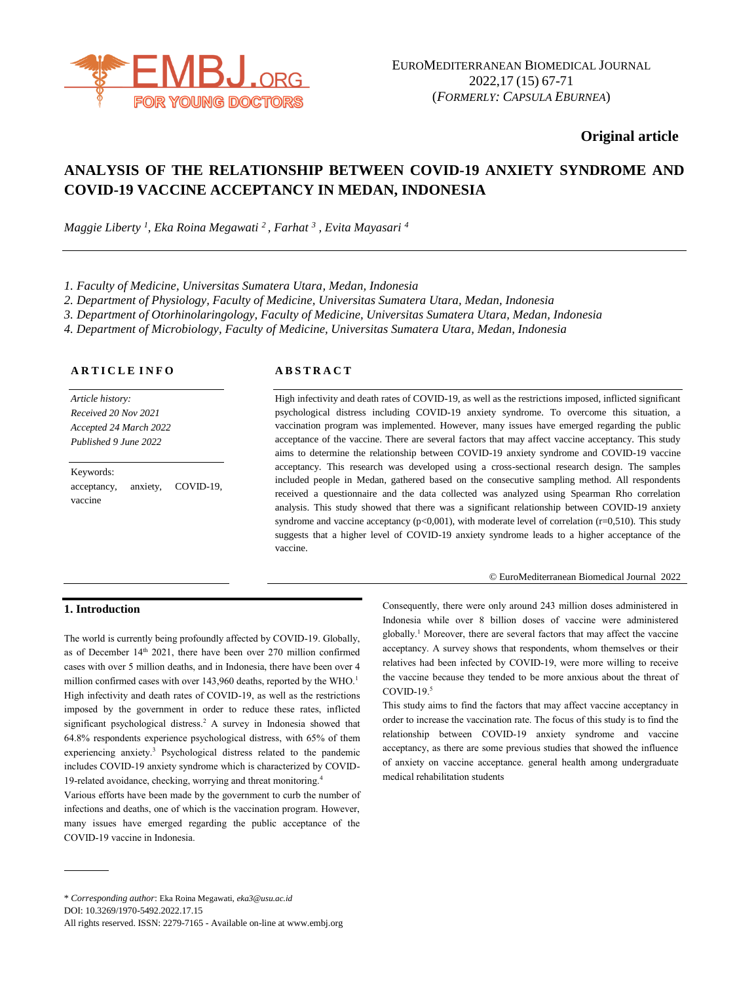

# **Original article**

# **ANALYSIS OF THE RELATIONSHIP BETWEEN COVID-19 ANXIETY SYNDROME AND COVID-19 VACCINE ACCEPTANCY IN MEDAN, INDONESIA**

*Maggie Liberty <sup>1</sup> , Eka Roina Megawati <sup>2</sup>, Farhat <sup>3</sup> , Evita Mayasari <sup>4</sup>*

*1. Faculty of Medicine, Universitas Sumatera Utara, Medan, Indonesia*

*2. Department of Physiology, Faculty of Medicine, Universitas Sumatera Utara, Medan, Indonesia*

*3. Department of Otorhinolaringology, Faculty of Medicine, Universitas Sumatera Utara, Medan, Indonesia*

*4. Department of Microbiology, Faculty of Medicine, Universitas Sumatera Utara, Medan, Indonesia*

#### **A R T I C L E I N F O**

*Article history: Received 20 Nov 2021 Accepted 24 March 2022 Published 9 June 2022*

Keywords: acceptancy, anxiety, COVID-19, vaccine

### **A B S T R A C T**

High infectivity and death rates of COVID-19, as well as the restrictions imposed, inflicted significant psychological distress including COVID-19 anxiety syndrome. To overcome this situation, a vaccination program was implemented. However, many issues have emerged regarding the public acceptance of the vaccine. There are several factors that may affect vaccine acceptancy. This study aims to determine the relationship between COVID-19 anxiety syndrome and COVID-19 vaccine acceptancy. This research was developed using a cross-sectional research design. The samples included people in Medan, gathered based on the consecutive sampling method. All respondents received a questionnaire and the data collected was analyzed using Spearman Rho correlation analysis. This study showed that there was a significant relationship between COVID-19 anxiety syndrome and vaccine acceptancy ( $p<0.001$ ), with moderate level of correlation ( $r=0.510$ ). This study suggests that a higher level of COVID-19 anxiety syndrome leads to a higher acceptance of the vaccine.

#### © EuroMediterranean Biomedical Journal 2022

#### **1. Introduction**

The world is currently being profoundly affected by COVID-19. Globally, as of December 14<sup>th</sup> 2021, there have been over 270 million confirmed cases with over 5 million deaths, and in Indonesia, there have been over 4 million confirmed cases with over 143,960 deaths, reported by the WHO.<sup>1</sup> High infectivity and death rates of COVID-19, as well as the restrictions imposed by the government in order to reduce these rates, inflicted significant psychological distress.<sup>2</sup> A survey in Indonesia showed that 64.8% respondents experience psychological distress, with 65% of them experiencing anxiety.<sup>3</sup> Psychological distress related to the pandemic includes COVID-19 anxiety syndrome which is characterized by COVID-19-related avoidance, checking, worrying and threat monitoring.<sup>4</sup>

Various efforts have been made by the government to curb the number of infections and deaths, one of which is the vaccination program. However, many issues have emerged regarding the public acceptance of the COVID-19 vaccine in Indonesia.

Consequently, there were only around 243 million doses administered in Indonesia while over 8 billion doses of vaccine were administered globally.<sup>1</sup> Moreover, there are several factors that may affect the vaccine acceptancy. A survey shows that respondents, whom themselves or their relatives had been infected by COVID-19, were more willing to receive the vaccine because they tended to be more anxious about the threat of  $COVID-19.<sup>5</sup>$ 

This study aims to find the factors that may affect vaccine acceptancy in order to increase the vaccination rate. The focus of this study is to find the relationship between COVID-19 anxiety syndrome and vaccine acceptancy, as there are some previous studies that showed the influence of anxiety on vaccine acceptance. general health among undergraduate medical rehabilitation students

<sup>\*</sup> *Corresponding author*: Eka Roina Megawati, *[eka3@usu.ac.id](mailto:eka3@usu.ac.id)*

DOI: 10.3269/1970-5492.2022.17.15

All rights reserved. ISSN: 2279-7165 - Available on-line at www.embj.org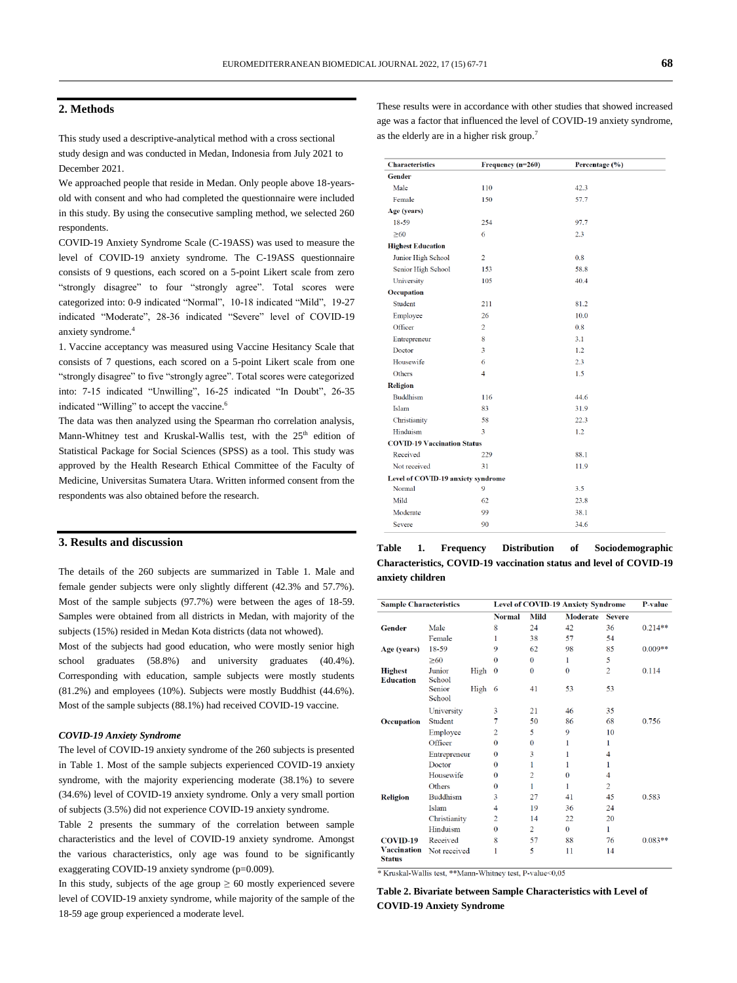#### **2. Methods**

This study used a descriptive-analytical method with a cross sectional study design and was conducted in Medan, Indonesia from July 2021 to December 2021.

We approached people that reside in Medan. Only people above 18-yearsold with consent and who had completed the questionnaire were included in this study. By using the consecutive sampling method, we selected 260 respondents.

COVID-19 Anxiety Syndrome Scale (C-19ASS) was used to measure the level of COVID-19 anxiety syndrome. The C-19ASS questionnaire consists of 9 questions, each scored on a 5-point Likert scale from zero "strongly disagree" to four "strongly agree". Total scores were categorized into: 0-9 indicated "Normal", 10-18 indicated "Mild", 19-27 indicated "Moderate", 28-36 indicated "Severe" level of COVID-19 anxiety syndrome.<sup>4</sup>

1. Vaccine acceptancy was measured using Vaccine Hesitancy Scale that consists of 7 questions, each scored on a 5-point Likert scale from one "strongly disagree" to five "strongly agree". Total scores were categorized into: 7-15 indicated "Unwilling", 16-25 indicated "In Doubt", 26-35 indicated "Willing" to accept the vaccine.<sup>6</sup>

The data was then analyzed using the Spearman rho correlation analysis, Mann-Whitney test and Kruskal-Wallis test, with the  $25<sup>th</sup>$  edition of Statistical Package for Social Sciences (SPSS) as a tool. This study was approved by the Health Research Ethical Committee of the Faculty of Medicine, Universitas Sumatera Utara. Written informed consent from the respondents was also obtained before the research.

#### **3. Results and discussion**

The details of the 260 subjects are summarized in Table 1. Male and female gender subjects were only slightly different (42.3% and 57.7%). Most of the sample subjects (97.7%) were between the ages of 18-59. Samples were obtained from all districts in Medan, with majority of the subjects (15%) resided in Medan Kota districts (data not whowed).

Most of the subjects had good education, who were mostly senior high school graduates (58.8%) and university graduates (40.4%). Corresponding with education, sample subjects were mostly students (81.2%) and employees (10%). Subjects were mostly Buddhist (44.6%). Most of the sample subjects (88.1%) had received COVID-19 vaccine.

#### *COVID-19 Anxiety Syndrome*

The level of COVID-19 anxiety syndrome of the 260 subjects is presented in Table 1. Most of the sample subjects experienced COVID-19 anxiety syndrome, with the majority experiencing moderate (38.1%) to severe (34.6%) level of COVID-19 anxiety syndrome. Only a very small portion of subjects (3.5%) did not experience COVID-19 anxiety syndrome.

Table 2 presents the summary of the correlation between sample characteristics and the level of COVID-19 anxiety syndrome. Amongst the various characteristics, only age was found to be significantly exaggerating COVID-19 anxiety syndrome (p=0.009).

In this study, subjects of the age group  $\geq 60$  mostly experienced severe level of COVID-19 anxiety syndrome, while majority of the sample of the 18-59 age group experienced a moderate level.

These results were in accordance with other studies that showed increased age was a factor that influenced the level of COVID-19 anxiety syndrome, as the elderly are in a higher risk group.<sup>7</sup>

| <b>Characteristics</b>             | Frequency (n=260) | Percentage (%) |  |
|------------------------------------|-------------------|----------------|--|
| <b>Gender</b>                      |                   |                |  |
| Male                               | 110               | 42.3           |  |
| Female                             | 150               | 57.7           |  |
| Age (years)                        |                   |                |  |
| 18-59                              | 254               | 97.7           |  |
| $\geq 60$                          | 6                 | 2.3            |  |
| <b>Highest Education</b>           |                   |                |  |
| Junior High School                 | $\overline{2}$    | 0.8            |  |
| Senior High School                 | 153               | 58.8           |  |
| University                         | 105               | 40.4           |  |
| Occupation                         |                   |                |  |
| Student                            | 211               | 81.2           |  |
| Employee                           | 26                | 10.0           |  |
| Officer                            | $\overline{2}$    | 0.8            |  |
| Entrepreneur                       | 8                 | 3.1            |  |
| Doctor                             | 3                 | 1.2            |  |
| Housewife                          | 6                 | 2.3            |  |
| Others                             | $\overline{4}$    | 1.5            |  |
| Religion                           |                   |                |  |
| <b>Buddhism</b>                    | 116               | 44.6           |  |
| Islam                              | 83                | 31.9           |  |
| Christianity                       | 58                | 22.3           |  |
| Hinduism                           | 3                 | 1.2            |  |
| <b>COVID-19 Vaccination Status</b> |                   |                |  |
| Received                           | 229               | 88.1           |  |
| Not received                       | 31                | 11.9           |  |
| Level of COVID-19 anxiety syndrome |                   |                |  |
| Normal                             | 9                 | 3.5            |  |
| Mild                               | 62                | 23.8           |  |
| Moderate                           | 99                | 38.1           |  |
| Severe                             | 90                | 34.6           |  |

| Table            | 1. | Frequency | <b>Distribution</b> | of | Sociodemographic                                                   |
|------------------|----|-----------|---------------------|----|--------------------------------------------------------------------|
|                  |    |           |                     |    | Characteristics, COVID-19 vaccination status and level of COVID-19 |
| anxiety children |    |           |                     |    |                                                                    |

| <b>Sample Characteristics</b>       |                  |      | Level of COVID-19 Anxiety Syndrome | P-value        |                 |                |           |
|-------------------------------------|------------------|------|------------------------------------|----------------|-----------------|----------------|-----------|
|                                     |                  |      | <b>Normal</b>                      | <b>Mild</b>    | <b>Moderate</b> | <b>Severe</b>  |           |
| <b>Gender</b>                       | Male             |      | 8                                  | 24             | 42              | 36             | $0.214**$ |
|                                     | Female           |      | 1                                  | 38             | 57              | 54             |           |
| Age (years)                         | 18-59            |      | 9                                  | 62             | 98              | 85             | $0.009**$ |
|                                     | $\geq 60$        |      | $\bf{0}$                           | $\mathbf{0}$   | 1               | 5              |           |
| <b>Highest</b><br><b>Education</b>  | Junior<br>School | High | $\theta$                           | $\mathbf{0}$   | $\mathbf{0}$    | $\overline{c}$ | 0.114     |
|                                     | Senior<br>School | High | 6                                  | 41             | 53              | 53             |           |
|                                     | University       |      | 3                                  | 21             | 46              | 35             |           |
| Occupation                          | Student          |      | 7                                  | 50             | 86              | 68             | 0.756     |
|                                     | Employee         |      | $\overline{2}$                     | 5              | 9               | 10             |           |
|                                     | Officer          |      | $\bf{0}$                           | $\theta$       | 1               | 1              |           |
|                                     | Entrepreneur     |      | $\bf{0}$                           | 3              | 1               | 4              |           |
|                                     | Doctor           |      | $\bf{0}$                           | 1              | 1               | 1              |           |
|                                     | Housewife        |      | $\bf{0}$                           | $\overline{2}$ | $\bf{0}$        | 4              |           |
|                                     | Others           |      | $\bf{0}$                           |                | 1               | $\overline{c}$ |           |
| <b>Religion</b>                     | <b>Buddhism</b>  |      | 3                                  | 27             | 41              | 45             | 0.583     |
|                                     | Islam            |      | 4                                  | 19             | 36              | 24             |           |
|                                     | Christianity     |      | $\overline{2}$                     | 14             | 22              | 20             |           |
|                                     | Hinduism         |      | 0                                  | $\overline{2}$ | $\theta$        | 1              |           |
| <b>COVID-19</b>                     | Received         |      | 8                                  | 57             | 88              | 76             | $0.083**$ |
| <b>Vaccination</b><br><b>Status</b> | Not received     |      | 1                                  | 5              | 11              | 14             |           |

\* Kruskal-Wallis test, \*\* Mann-Whitney test, P-value<0,05

**Table 2. Bivariate between Sample Characteristics with Level of COVID-19 Anxiety Syndrome**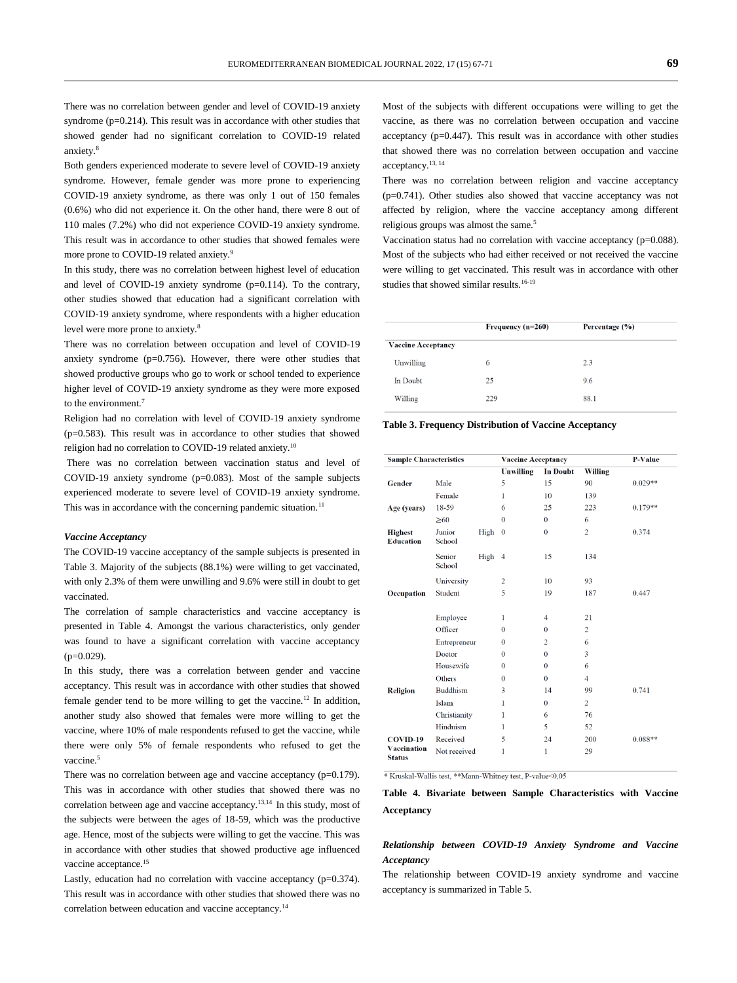There was no correlation between gender and level of COVID-19 anxiety syndrome  $(p=0.214)$ . This result was in accordance with other studies that showed gender had no significant correlation to COVID-19 related anxiety<sup>8</sup>

Both genders experienced moderate to severe level of COVID-19 anxiety syndrome. However, female gender was more prone to experiencing COVID-19 anxiety syndrome, as there was only 1 out of 150 females (0.6%) who did not experience it. On the other hand, there were 8 out of 110 males (7.2%) who did not experience COVID-19 anxiety syndrome. This result was in accordance to other studies that showed females were more prone to COVID-19 related anxiety.<sup>9</sup>

In this study, there was no correlation between highest level of education and level of COVID-19 anxiety syndrome (p=0.114). To the contrary, other studies showed that education had a significant correlation with COVID-19 anxiety syndrome, where respondents with a higher education level were more prone to anxiety.<sup>8</sup>

There was no correlation between occupation and level of COVID-19 anxiety syndrome  $(p=0.756)$ . However, there were other studies that showed productive groups who go to work or school tended to experience higher level of COVID-19 anxiety syndrome as they were more exposed to the environment.<sup>7</sup>

Religion had no correlation with level of COVID-19 anxiety syndrome (p=0.583). This result was in accordance to other studies that showed religion had no correlation to COVID-19 related anxiety.<sup>10</sup>

There was no correlation between vaccination status and level of COVID-19 anxiety syndrome  $(p=0.083)$ . Most of the sample subjects experienced moderate to severe level of COVID-19 anxiety syndrome. This was in accordance with the concerning pandemic situation.<sup>11</sup>

#### *Vaccine Acceptancy*

The COVID-19 vaccine acceptancy of the sample subjects is presented in Table 3. Majority of the subjects (88.1%) were willing to get vaccinated, with only 2.3% of them were unwilling and 9.6% were still in doubt to get vaccinated.

The correlation of sample characteristics and vaccine acceptancy is presented in Table 4. Amongst the various characteristics, only gender was found to have a significant correlation with vaccine acceptancy  $(p=0.029)$ .

In this study, there was a correlation between gender and vaccine acceptancy. This result was in accordance with other studies that showed female gender tend to be more willing to get the vaccine.<sup>12</sup> In addition, another study also showed that females were more willing to get the vaccine, where 10% of male respondents refused to get the vaccine, while there were only 5% of female respondents who refused to get the vaccine.<sup>5</sup>

There was no correlation between age and vaccine acceptancy (p=0.179). This was in accordance with other studies that showed there was no correlation between age and vaccine acceptancy.13,14 In this study, most of the subjects were between the ages of 18-59, which was the productive age. Hence, most of the subjects were willing to get the vaccine. This was in accordance with other studies that showed productive age influenced vaccine acceptance.<sup>15</sup>

Lastly, education had no correlation with vaccine acceptancy (p=0.374). This result was in accordance with other studies that showed there was no correlation between education and vaccine acceptancy.<sup>14</sup>

Most of the subjects with different occupations were willing to get the vaccine, as there was no correlation between occupation and vaccine acceptancy  $(p=0.447)$ . This result was in accordance with other studies that showed there was no correlation between occupation and vaccine acceptancy.13, <sup>14</sup>

There was no correlation between religion and vaccine acceptancy (p=0.741). Other studies also showed that vaccine acceptancy was not affected by religion, where the vaccine acceptancy among different religious groups was almost the same.<sup>5</sup>

Vaccination status had no correlation with vaccine acceptancy (p=0.088). Most of the subjects who had either received or not received the vaccine were willing to get vaccinated. This result was in accordance with other studies that showed similar results.16-19

|                           | Frequency $(n=260)$ | Percentage (%) |  |
|---------------------------|---------------------|----------------|--|
| <b>Vaccine Acceptancy</b> |                     |                |  |
| Unwilling                 | 6                   | 2.3            |  |
| In Doubt                  | 25                  | 9.6            |  |
| Willing                   | 229                 | 88.1           |  |

**Table 3. Frequency Distribution of Vaccine Acceptancy**

| <b>Sample Characteristics</b>       |                  | <b>Vaccine Acceptancy</b> |                |                 | <b>P-Value</b> |           |
|-------------------------------------|------------------|---------------------------|----------------|-----------------|----------------|-----------|
|                                     |                  |                           | Unwilling      | <b>In Doubt</b> | Willing        |           |
| <b>Gender</b>                       | Male             |                           | 5              | 15              | 90             | $0.029**$ |
|                                     | Female           |                           | 1              | 10              | 139            |           |
| Age (years)                         | 18-59            |                           | 6              | 25              | 223            | $0.179**$ |
|                                     | $\geq 60$        |                           | $\Omega$       | $\bf{0}$        | 6              |           |
| <b>Highest</b><br><b>Education</b>  | Junior<br>School | High                      | $\bf{0}$       | $\bf{0}$        | $\overline{2}$ | 0.374     |
|                                     | Senior<br>School | High 4                    |                | 15              | 134            |           |
|                                     | University       |                           | $\overline{2}$ | 10              | 93             |           |
| Occupation                          | Student          |                           | 5              | 19              | 187            | 0.447     |
|                                     | Employee         |                           | 1              | 4               | 21             |           |
|                                     | Officer          |                           | $\bf{0}$       | $\bf{0}$        | $\overline{2}$ |           |
|                                     | Entrepreneur     |                           | $\bf{0}$       | $\overline{2}$  | 6              |           |
|                                     | Doctor           |                           | $\Omega$       | $\Omega$        | 3              |           |
|                                     | Housewife        |                           | $\bf{0}$       | $\bf{0}$        | 6              |           |
|                                     | Others           |                           | $\Omega$       | $\theta$        | 4              |           |
| <b>Religion</b>                     | <b>Buddhism</b>  |                           | 3              | 14              | 99             | 0.741     |
|                                     | Islam            |                           | 1              | $\mathbf{0}$    | $\overline{2}$ |           |
|                                     | Christianity     |                           | 1              | 6               | 76             |           |
|                                     | Hinduism         |                           | 1              | 5               | 52             |           |
| <b>COVID-19</b>                     | Received         |                           | 5              | 24              | 200            | $0.088**$ |
| <b>Vaccination</b><br><b>Status</b> | Not received     |                           | 1              | 1               | 29             |           |

\* Kruskal-Wallis test, \*\* Mann-Whitney test, P-value<0,05

# **Table 4. Bivariate between Sample Characteristics with Vaccine Acceptancy**

### *Relationship between COVID-19 Anxiety Syndrome and Vaccine Acceptancy*

The relationship between COVID-19 anxiety syndrome and vaccine acceptancy is summarized in Table 5.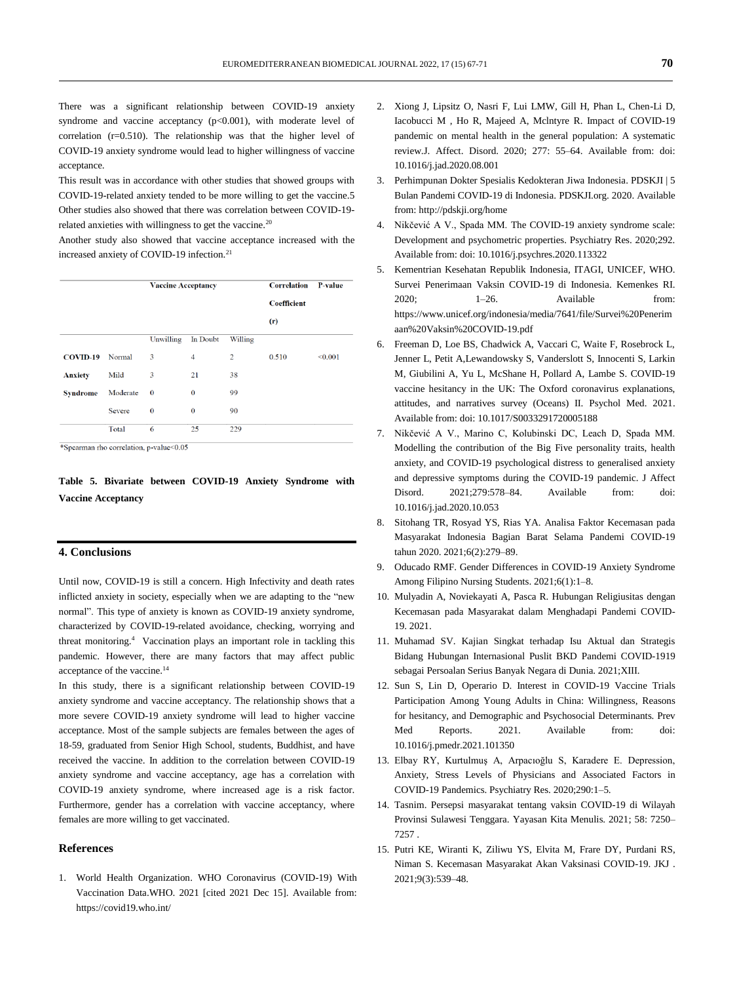There was a significant relationship between COVID-19 anxiety syndrome and vaccine acceptancy  $(p<0.001)$ , with moderate level of correlation (r=0.510). The relationship was that the higher level of COVID-19 anxiety syndrome would lead to higher willingness of vaccine acceptance.

This result was in accordance with other studies that showed groups with COVID-19-related anxiety tended to be more willing to get the vaccine.5 Other studies also showed that there was correlation between COVID-19 related anxieties with willingness to get the vaccine.<sup>20</sup>

Another study also showed that vaccine acceptance increased with the increased anxiety of COVID-19 infection.<sup>21</sup>

|                 |          | <b>Vaccine Acceptancy</b> |          | <b>Correlation</b> | <b>P-value</b> |         |
|-----------------|----------|---------------------------|----------|--------------------|----------------|---------|
|                 |          |                           |          |                    | Coefficient    |         |
|                 |          |                           |          |                    | (r)            |         |
|                 |          | Unwilling                 | In Doubt | Willing            |                |         |
| <b>COVID-19</b> | Normal   | 3                         | 4        | $\overline{2}$     | 0.510          | < 0.001 |
| <b>Anxiety</b>  | Mild     | 3                         | 21       | 38                 |                |         |
| <b>Syndrome</b> | Moderate | $\bf{0}$                  | $\bf{0}$ | 99                 |                |         |
|                 | Severe   | $\bf{0}$                  | $\bf{0}$ | 90                 |                |         |
|                 | Total    | 6                         | 25       | 229                |                |         |

\*Spearman rho correlation, p-value<0.05

**Table 5. Bivariate between COVID-19 Anxiety Syndrome with Vaccine Acceptancy**

## **4. Conclusions**

Until now, COVID-19 is still a concern. High Infectivity and death rates inflicted anxiety in society, especially when we are adapting to the "new normal". This type of anxiety is known as COVID-19 anxiety syndrome, characterized by COVID-19-related avoidance, checking, worrying and threat monitoring.<sup>4</sup> Vaccination plays an important role in tackling this pandemic. However, there are many factors that may affect public acceptance of the vaccine. 14

In this study, there is a significant relationship between COVID-19 anxiety syndrome and vaccine acceptancy. The relationship shows that a more severe COVID-19 anxiety syndrome will lead to higher vaccine acceptance. Most of the sample subjects are females between the ages of 18-59, graduated from Senior High School, students, Buddhist, and have received the vaccine. In addition to the correlation between COVID-19 anxiety syndrome and vaccine acceptancy, age has a correlation with COVID-19 anxiety syndrome, where increased age is a risk factor. Furthermore, gender has a correlation with vaccine acceptancy, where females are more willing to get vaccinated.

### **References**

1. World Health Organization. WHO Coronavirus (COVID-19) With Vaccination Data.WHO. 2021 [cited 2021 Dec 15]. Available from: https://covid19.who.int/

- 2. Xiong J, Lipsitz O, Nasri F, Lui LMW, Gill H, Phan L, Chen-Li D, Iacobucci M , Ho R, Majeed A, Mclntyre R. Impact of COVID-19 pandemic on mental health in the general population: A systematic review.J. Affect. Disord. 2020; 277: 55–64. Available from: doi: [10.1016/j.jad.2020.08.001](https://dx.doi.org/10.1016/j.jad.2020.08.001)
- 3. Perhimpunan Dokter Spesialis Kedokteran Jiwa Indonesia. PDSKJI | 5 Bulan Pandemi COVID-19 di Indonesia. PDSKJI.org. 2020. Available from: http://pdskji.org/home
- 4. Nikčević A V., Spada MM. The COVID-19 anxiety syndrome scale: Development and psychometric properties. Psychiatry Res. 2020;292. Available from: doi: 10.1016/j.psychres.2020.113322
- 5. Kementrian Kesehatan Republik Indonesia, ITAGI, UNICEF, WHO. Survei Penerimaan Vaksin COVID-19 di Indonesia. Kemenkes RI.  $2020$ :  $1-26$ . Available from: https://www.unicef.org/indonesia/media/7641/file/Survei%20Penerim aan%20Vaksin%20COVID-19.pdf
- 6. Freeman D, Loe BS, Chadwick A, Vaccari C, Waite F, Rosebrock L, Jenner L, Petit A,Lewandowsky S, Vanderslott S, Innocenti S, Larkin M, Giubilini A, Yu L, McShane H, Pollard A, Lambe S. COVID-19 vaccine hesitancy in the UK: The Oxford coronavirus explanations, attitudes, and narratives survey (Oceans) II. Psychol Med. 2021. Available from: doi: [10.1017/S0033291720005188](https://dx.doi.org/10.1017/S0033291720005188)
- 7. Nikčević A V., Marino C, Kolubinski DC, Leach D, Spada MM. Modelling the contribution of the Big Five personality traits, health anxiety, and COVID-19 psychological distress to generalised anxiety and depressive symptoms during the COVID-19 pandemic. J Affect Disord. 2021;279:578–84. Available from: doi: [10.1016/j.jad.2020.10.053](https://doi.org/10.1016/j.jad.2020.10.053)
- 8. Sitohang TR, Rosyad YS, Rias YA. Analisa Faktor Kecemasan pada Masyarakat Indonesia Bagian Barat Selama Pandemi COVID-19 tahun 2020. 2021;6(2):279–89.
- 9. Oducado RMF. Gender Differences in COVID-19 Anxiety Syndrome Among Filipino Nursing Students. 2021;6(1):1–8.
- 10. Mulyadin A, Noviekayati A, Pasca R. Hubungan Religiusitas dengan Kecemasan pada Masyarakat dalam Menghadapi Pandemi COVID-19. 2021.
- 11. Muhamad SV. Kajian Singkat terhadap Isu Aktual dan Strategis Bidang Hubungan Internasional Puslit BKD Pandemi COVID-1919 sebagai Persoalan Serius Banyak Negara di Dunia. 2021;XIII.
- 12. Sun S, Lin D, Operario D. Interest in COVID-19 Vaccine Trials Participation Among Young Adults in China: Willingness, Reasons for hesitancy, and Demographic and Psychosocial Determinants. Prev Med Reports. 2021. Available from: doi: [10.1016/j.pmedr.2021.101350](https://doi.org/10.1016/j.pmedr.2021.101350)
- 13. Elbay RY, Kurtulmuş A, Arpacıoğlu S, Karadere E. Depression, Anxiety, Stress Levels of Physicians and Associated Factors in COVID-19 Pandemics. Psychiatry Res. 2020;290:1–5.
- 14. Tasnim. Persepsi masyarakat tentang vaksin COVID-19 di Wilayah Provinsi Sulawesi Tenggara. Yayasan Kita Menulis. 2021; 58: 7250– 7257 .
- 15. Putri KE, Wiranti K, Ziliwu YS, Elvita M, Frare DY, Purdani RS, Niman S. Kecemasan Masyarakat Akan Vaksinasi COVID-19. JKJ . 2021;9(3):539–48.